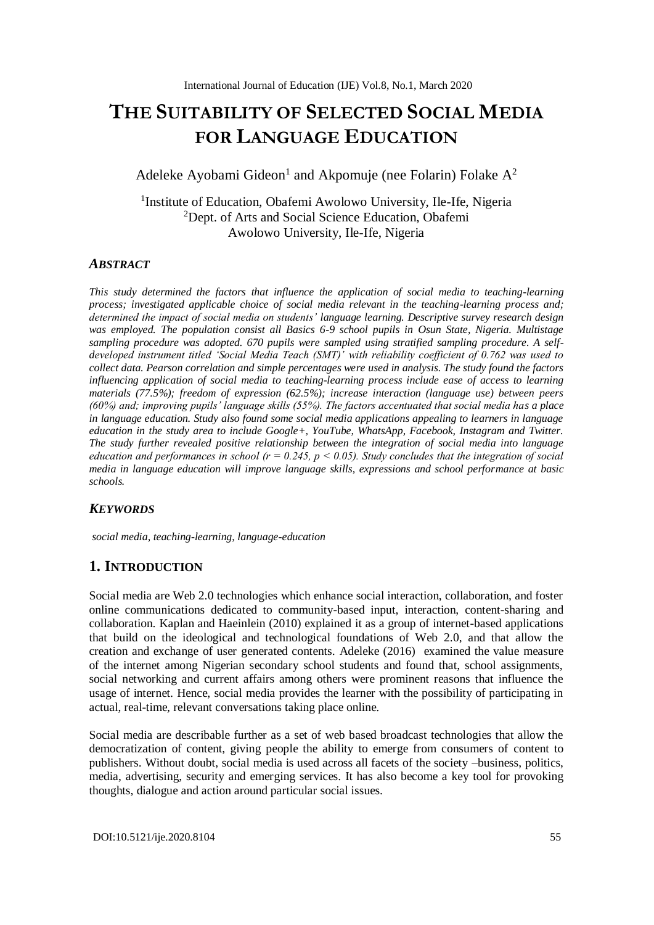# **THE SUITABILITY OF SELECTED SOCIAL MEDIA FOR LANGUAGE EDUCATION**

Adeleke Ayobami Gideon<sup>1</sup> and Akpomuje (nee Folarin) Folake  $A^2$ 

<sup>1</sup>Institute of Education, Obafemi Awolowo University, Ile-Ife, Nigeria <sup>2</sup>Dept. of Arts and Social Science Education, Obafemi Awolowo University, Ile-Ife, Nigeria

## *ABSTRACT*

*This study determined the factors that influence the application of social media to teaching-learning process; investigated applicable choice of social media relevant in the teaching-learning process and; determined the impact of social media on students' language learning. Descriptive survey research design was employed. The population consist all Basics 6-9 school pupils in Osun State, Nigeria. Multistage sampling procedure was adopted. 670 pupils were sampled using stratified sampling procedure. A selfdeveloped instrument titled 'Social Media Teach (SMT)' with reliability coefficient of 0.762 was used to collect data. Pearson correlation and simple percentages were used in analysis. The study found the factors influencing application of social media to teaching-learning process include ease of access to learning materials (77.5%); freedom of expression (62.5%); increase interaction (language use) between peers (60%) and; improving pupils' language skills (55%). The factors accentuated that social media has a place in language education. Study also found some social media applications appealing to learners in language education in the study area to include Google+, YouTube, WhatsApp, Facebook, Instagram and Twitter. The study further revealed positive relationship between the integration of social media into language education and performances in school (r = 0.245, p < 0.05). Study concludes that the integration of social media in language education will improve language skills, expressions and school performance at basic schools.* 

#### *KEYWORDS*

*social media, teaching-learning, language-education*

# **1. INTRODUCTION**

Social media are Web 2.0 technologies which enhance social interaction, collaboration, and foster online communications dedicated to community-based input, interaction, content-sharing and collaboration. Kaplan and Haeinlein (2010) explained it as a group of internet-based applications that build on the ideological and technological foundations of Web 2.0, and that allow the creation and exchange of user generated contents. Adeleke (2016) examined the value measure of the internet among Nigerian secondary school students and found that, school assignments, social networking and current affairs among others were prominent reasons that influence the usage of internet. Hence, social media provides the learner with the possibility of participating in actual, real-time, relevant conversations taking place online.

Social media are describable further as a set of web based broadcast technologies that allow the democratization of content, giving people the ability to emerge from consumers of content to publishers. Without doubt, social media is used across all facets of the society –business, politics, media, advertising, security and emerging services. It has also become a key tool for provoking thoughts, dialogue and action around particular social issues.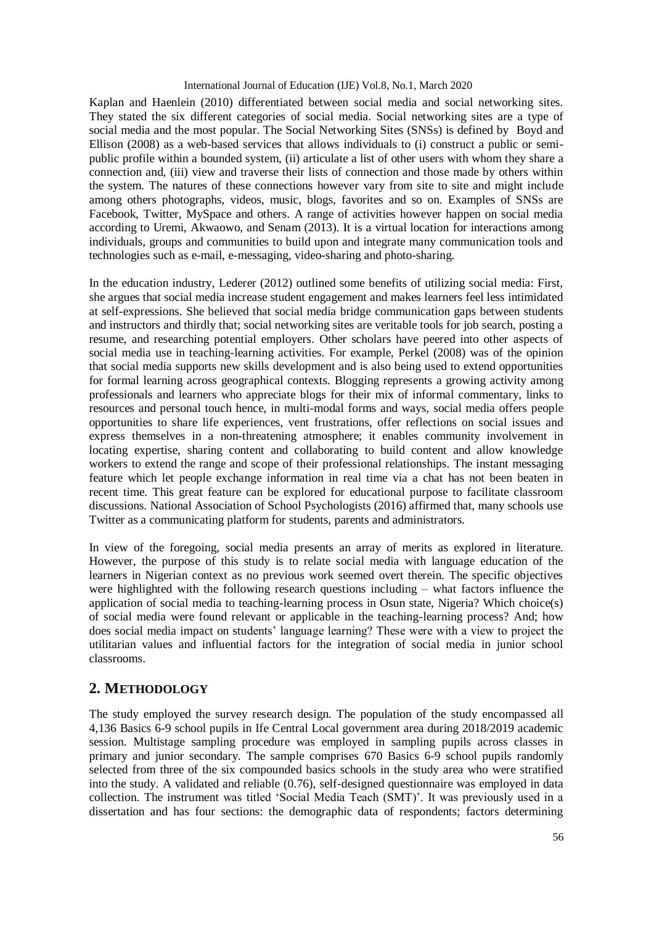Kaplan and Haenlein (2010) differentiated between social media and social networking sites. They stated the six different categories of social media. Social networking sites are a type of social media and the most popular. The Social Networking Sites (SNSs) is defined by Boyd and Ellison (2008) as a web-based services that allows individuals to (i) construct a public or semipublic profile within a bounded system, (ii) articulate a list of other users with whom they share a connection and, (iii) view and traverse their lists of connection and those made by others within the system. The natures of these connections however vary from site to site and might include among others photographs, videos, music, blogs, favorites and so on. Examples of SNSs are Facebook, Twitter, MySpace and others. A range of activities however happen on social media according to Uremi, Akwaowo, and Senam (2013). It is a virtual location for interactions among individuals, groups and communities to build upon and integrate many communication tools and technologies such as e-mail, e-messaging, video-sharing and photo-sharing.

In the education industry, Lederer (2012) outlined some benefits of utilizing social media: First, she argues that social media increase student engagement and makes learners feel less intimidated at self-expressions. She believed that social media bridge communication gaps between students and instructors and thirdly that; social networking sites are veritable tools for job search, posting a resume, and researching potential employers. Other scholars have peered into other aspects of social media use in teaching-learning activities. For example, Perkel (2008) was of the opinion that social media supports new skills development and is also being used to extend opportunities for formal learning across geographical contexts. Blogging represents a growing activity among professionals and learners who appreciate blogs for their mix of informal commentary, links to resources and personal touch hence, in multi-modal forms and ways, social media offers people opportunities to share life experiences, vent frustrations, offer reflections on social issues and express themselves in a non-threatening atmosphere; it enables community involvement in locating expertise, sharing content and collaborating to build content and allow knowledge workers to extend the range and scope of their professional relationships. The instant messaging feature which let people exchange information in real time via a chat has not been beaten in recent time. This great feature can be explored for educational purpose to facilitate classroom discussions. National Association of School Psychologists (2016) affirmed that, many schools use Twitter as a communicating platform for students, parents and administrators.

In view of the foregoing, social media presents an array of merits as explored in literature. However, the purpose of this study is to relate social media with language education of the learners in Nigerian context as no previous work seemed overt therein. The specific objectives were highlighted with the following research questions including – what factors influence the application of social media to teaching-learning process in Osun state, Nigeria? Which choice(s) of social media were found relevant or applicable in the teaching-learning process? And; how does social media impact on students' language learning? These were with a view to project the utilitarian values and influential factors for the integration of social media in junior school classrooms.

# **2. METHODOLOGY**

The study employed the survey research design. The population of the study encompassed all 4,136 Basics 6-9 school pupils in Ife Central Local government area during 2018/2019 academic session. Multistage sampling procedure was employed in sampling pupils across classes in primary and junior secondary. The sample comprises 670 Basics 6-9 school pupils randomly selected from three of the six compounded basics schools in the study area who were stratified into the study. A validated and reliable (0.76), self-designed questionnaire was employed in data collection. The instrument was titled 'Social Media Teach (SMT)'. It was previously used in a dissertation and has four sections: the demographic data of respondents; factors determining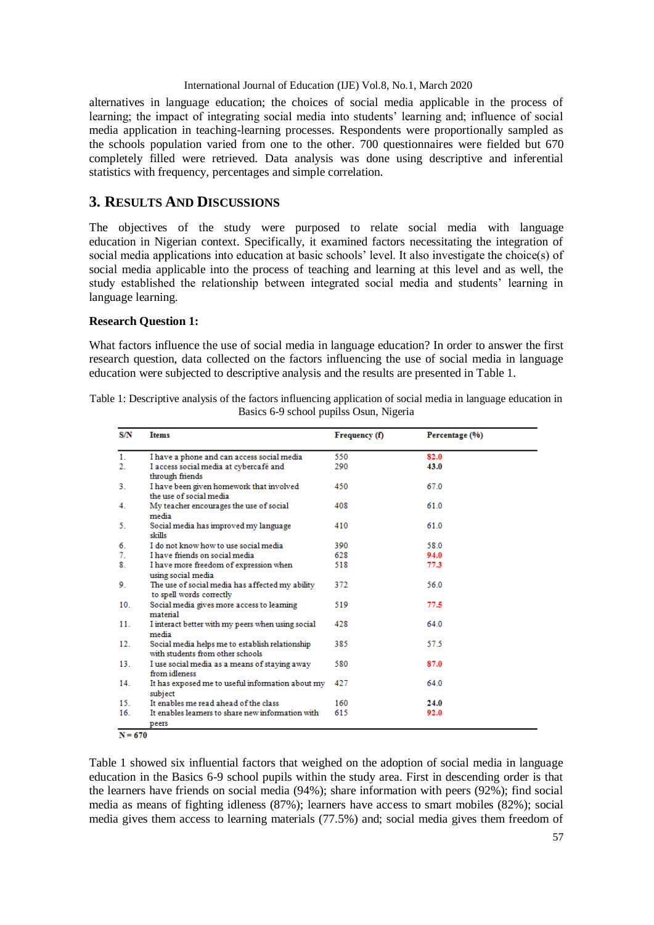alternatives in language education; the choices of social media applicable in the process of learning; the impact of integrating social media into students' learning and; influence of social media application in teaching-learning processes. Respondents were proportionally sampled as the schools population varied from one to the other. 700 questionnaires were fielded but 670 completely filled were retrieved. Data analysis was done using descriptive and inferential statistics with frequency, percentages and simple correlation.

# **3. RESULTS AND DISCUSSIONS**

The objectives of the study were purposed to relate social media with language education in Nigerian context. Specifically, it examined factors necessitating the integration of social media applications into education at basic schools' level. It also investigate the choice(s) of social media applicable into the process of teaching and learning at this level and as well, the study established the relationship between integrated social media and students' learning in language learning.

### **Research Question 1:**

What factors influence the use of social media in language education? In order to answer the first research question, data collected on the factors influencing the use of social media in language education were subjected to descriptive analysis and the results are presented in Table 1.

| <b>S/N</b>      | <b>Items</b>                                                                        | Frequency (f) | Percentage (%) |
|-----------------|-------------------------------------------------------------------------------------|---------------|----------------|
| 1 <sub>1</sub>  | I have a phone and can access social media                                          | 550           | 82.0           |
| 2.              | I access social media at cybercafé and<br>through friends                           | 290           | 43.0           |
| 3.              | I have been given homework that involved<br>the use of social media                 | 450           | 67.0           |
| 4.              | My teacher encourages the use of social<br>media                                    | 408           | 61.0           |
| 5.              | Social media has improved my language<br>skills                                     | 410           | 61.0           |
| 6.              | I do not know how to use social media                                               | 390           | 58.0           |
| 7.              | I have friends on social media                                                      | 628           | 94.0           |
| 8.              | I have more freedom of expression when<br>using social media                        | 518           | 77.3           |
| 9.              | The use of social media has affected my ability<br>to spell words correctly         | 372           | 56.0           |
| 10 <sub>1</sub> | Social media gives more access to learning<br>material                              | 519           | 77.5           |
| 11.             | I interact better with my peers when using social<br>media                          | 428           | 64.0           |
| 12.             | Social media helps me to establish relationship<br>with students from other schools | 385           | 57.5           |
| 13.             | I use social media as a means of staying away<br>from idleness                      | 580           | 87.0           |
| 14.             | It has exposed me to useful information about my<br>subject                         | 427           | 64.0           |
| 15.             | It enables me read ahead of the class                                               | 160           | 24.0           |
| 16.             | It enables learners to share new information with<br>peers                          | 615           | 92.0           |

Table 1: Descriptive analysis of the factors influencing application of social media in language education in Basics 6-9 school pupilss Osun, Nigeria

 $N = 670$ 

Table 1 showed six influential factors that weighed on the adoption of social media in language education in the Basics 6-9 school pupils within the study area. First in descending order is that the learners have friends on social media (94%); share information with peers (92%); find social media as means of fighting idleness (87%); learners have access to smart mobiles (82%); social media gives them access to learning materials (77.5%) and; social media gives them freedom of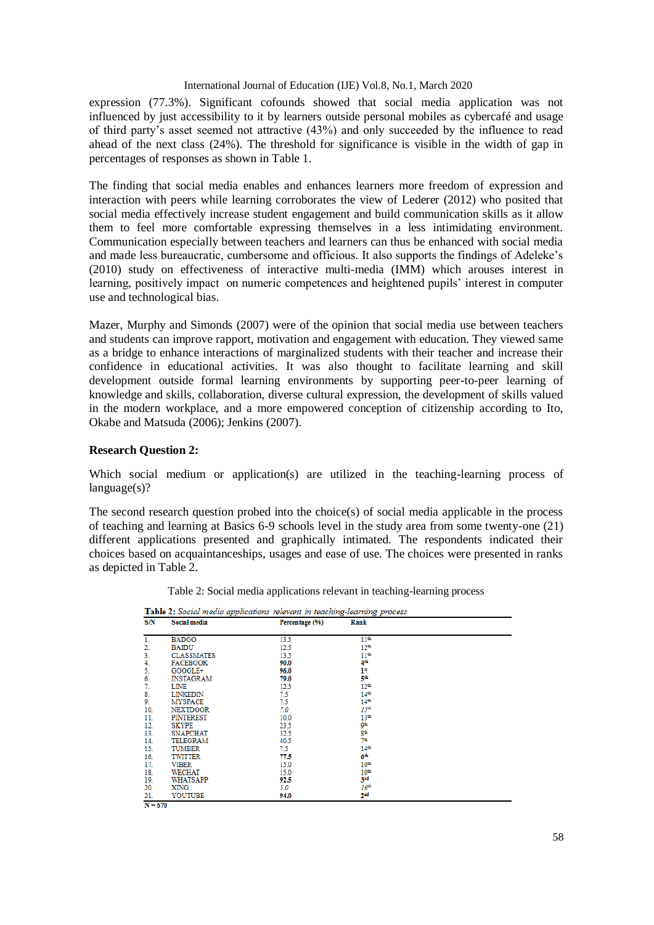expression (77.3%). Significant cofounds showed that social media application was not influenced by just accessibility to it by learners outside personal mobiles as cybercafé and usage of third party's asset seemed not attractive (43%) and only succeeded by the influence to read ahead of the next class (24%). The threshold for significance is visible in the width of gap in percentages of responses as shown in Table 1.

The finding that social media enables and enhances learners more freedom of expression and interaction with peers while learning corroborates the view of Lederer (2012) who posited that social media effectively increase student engagement and build communication skills as it allow them to feel more comfortable expressing themselves in a less intimidating environment. Communication especially between teachers and learners can thus be enhanced with social media and made less bureaucratic, cumbersome and officious. It also supports the findings of Adeleke's (2010) study on effectiveness of interactive multi-media (IMM) which arouses interest in learning, positively impact on numeric competences and heightened pupils' interest in computer use and technological bias.

Mazer, Murphy and Simonds (2007) were of the opinion that social media use between teachers and students can improve rapport, motivation and engagement with education. They viewed same as a bridge to enhance interactions of marginalized students with their teacher and increase their confidence in educational activities. It was also thought to facilitate learning and skill development outside formal learning environments by supporting peer-to-peer learning of knowledge and skills, collaboration, diverse cultural expression, the development of skills valued in the modern workplace, and a more empowered conception of citizenship according to Ito, Okabe and Matsuda (2006); Jenkins (2007).

## **Research Question 2:**

Which social medium or application(s) are utilized in the teaching-learning process of language(s)?

The second research question probed into the choice(s) of social media applicable in the process of teaching and learning at Basics 6-9 schools level in the study area from some twenty-one (21) different applications presented and graphically intimated. The respondents indicated their choices based on acquaintanceships, usages and ease of use. The choices were presented in ranks as depicted in Table 2.

Table 2: Social media applications relevant in teaching-learning process

| S/N | Social media      | Percentage (%) | Rank             |  |
|-----|-------------------|----------------|------------------|--|
| 1.  | <b>BADOO</b>      | 13.5           | $11^*$           |  |
| 2.  | <b>BAIDU</b>      | 12.5           | $12^{6}$         |  |
| 3.  | <b>CLASSMATES</b> | 13.5           | 11 <sup>6</sup>  |  |
| 4.  | <b>FACEBOOK</b>   | 90.0           | 4 <sup>th</sup>  |  |
| 5.  | GOOGLE+           | 96.0           | $1^{\rm st}$     |  |
| 6.  | <b>INSTAGRAM</b>  | 79.0           | 5th              |  |
| 7.  | LINE              | 12.5           | 12 <sup>th</sup> |  |
| 8.  | <b>LINKEDIN</b>   | 7.5            | $14^{6}$         |  |
| 9.  | <b>MYSPACE</b>    | 7.5            | $14^{6}$         |  |
| 10. | <b>NEXTDOOR</b>   | 7.0            | 15 <sup>th</sup> |  |
| 11. | <b>PINTEREST</b>  | 10.0           | 13 <sup>th</sup> |  |
| 12. | <b>SKYPE</b>      | 23.5           | ھو               |  |
| 13. | <b>SNAPCHAT</b>   | 32.5           | 8 <sup>th</sup>  |  |
| 14. | TELEGRAM          | 40.5           | 76               |  |
| 15. | <b>TUMBER</b>     | 7.5            | $14^{\circ}$     |  |
| 16. | <b>TWITTER</b>    | 77.5           | 6 <sup>th</sup>  |  |
| 17. | <b>VIBER</b>      | 15.0           | $10^{4}$         |  |
| 18. | <b>WECHAT</b>     | 15.0           | $10^{4}$         |  |
| 19. | WHATSAPP          | 92.5           | 3rd              |  |
| 20. | XING              | 5.0            | 16 <sup>th</sup> |  |
| 21. | YOUTUBE           | 94.0           | 2 <sup>nd</sup>  |  |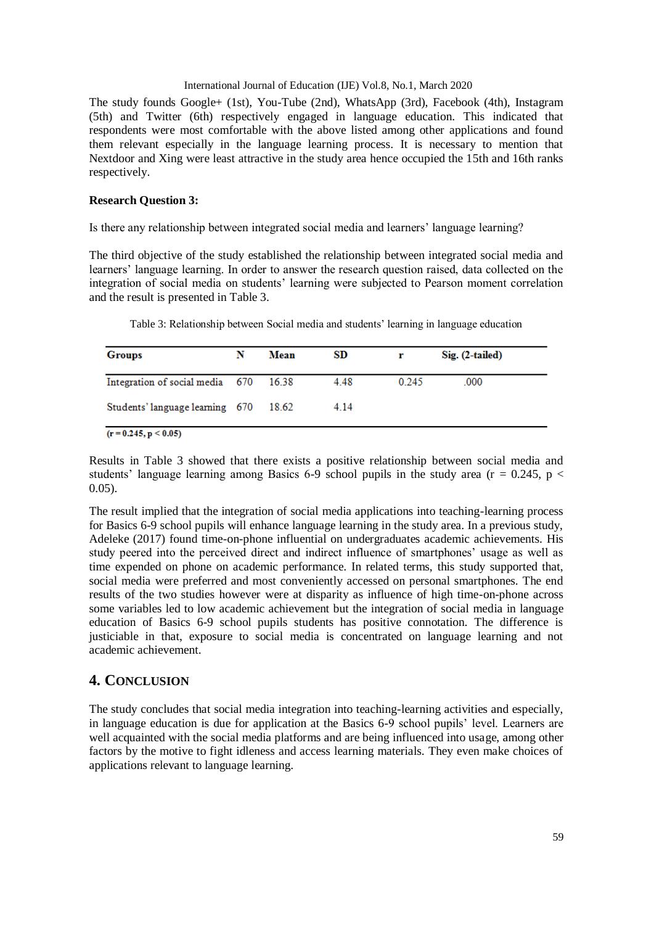The study founds Google+ (1st), You-Tube (2nd), WhatsApp (3rd), Facebook (4th), Instagram (5th) and Twitter (6th) respectively engaged in language education. This indicated that respondents were most comfortable with the above listed among other applications and found them relevant especially in the language learning process. It is necessary to mention that Nextdoor and Xing were least attractive in the study area hence occupied the 15th and 16th ranks respectively.

#### **Research Question 3:**

Is there any relationship between integrated social media and learners' language learning?

The third objective of the study established the relationship between integrated social media and learners' language learning. In order to answer the research question raised, data collected on the integration of social media on students' learning were subjected to Pearson moment correlation and the result is presented in Table 3.

| <b>Groups</b>                         | N | Mean | SD.  |       | $Sig. (2-tailed)$ |
|---------------------------------------|---|------|------|-------|-------------------|
| Integration of social media 670 16.38 |   |      | 4.48 | 0.245 | .000              |
| Students' language learning 670 18.62 |   |      | 4.14 |       |                   |

Table 3: Relationship between Social media and students' learning in language education

Results in Table 3 showed that there exists a positive relationship between social media and students' language learning among Basics 6-9 school pupils in the study area ( $r = 0.245$ ,  $p <$  $0.05$ ).

The result implied that the integration of social media applications into teaching-learning process for Basics 6-9 school pupils will enhance language learning in the study area. In a previous study, Adeleke (2017) found time-on-phone influential on undergraduates academic achievements. His study peered into the perceived direct and indirect influence of smartphones' usage as well as time expended on phone on academic performance. In related terms, this study supported that, social media were preferred and most conveniently accessed on personal smartphones. The end results of the two studies however were at disparity as influence of high time-on-phone across some variables led to low academic achievement but the integration of social media in language education of Basics 6-9 school pupils students has positive connotation. The difference is justiciable in that, exposure to social media is concentrated on language learning and not academic achievement.

# **4. CONCLUSION**

The study concludes that social media integration into teaching-learning activities and especially, in language education is due for application at the Basics 6-9 school pupils' level. Learners are well acquainted with the social media platforms and are being influenced into usage, among other factors by the motive to fight idleness and access learning materials. They even make choices of applications relevant to language learning.